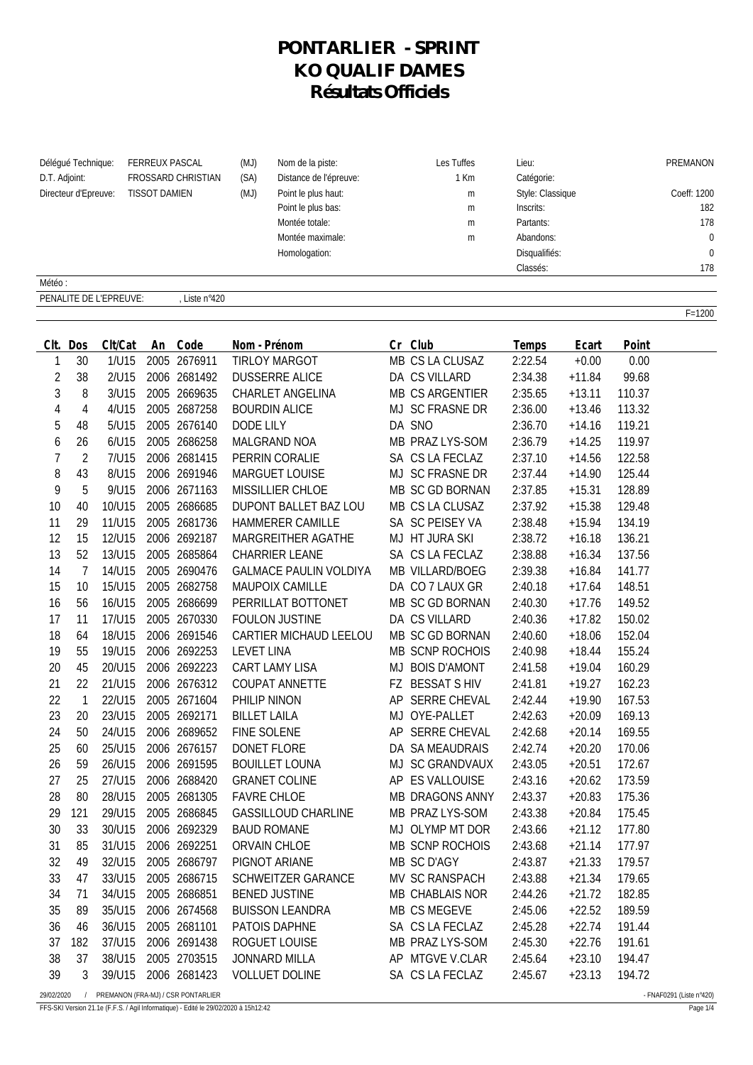## **PONTARLIER - SPRINT KO QUALIF DAMES Résultats Officiels**

| Délégué Technique:<br><b>FERREUX PASCAL</b><br>D.T. Adjoint:<br>FROSSARD CHRISTIAN<br><b>TISSOT DAMIEN</b><br>Directeur d'Epreuve: |                | (MJ)<br>Nom de la piste:<br>(SA)<br>Distance de l'épreuve:<br>(MJ)<br>Point le plus haut:<br>Point le plus bas:<br>Montée totale:<br>Montée maximale:<br>Homologation: |    |               | Les Tuffes<br>1 Km<br>m<br>m<br>m<br>m | Lieu:<br>Catégorie:<br>Style: Classique<br>Inscrits:<br>Partants:<br>Abandons:<br>Disqualifiés:<br>Classés: |    | PREMANON<br>Coeff: 1200<br>182<br>178<br>$\mathbf 0$<br>178 |         |          |        |            |
|------------------------------------------------------------------------------------------------------------------------------------|----------------|------------------------------------------------------------------------------------------------------------------------------------------------------------------------|----|---------------|----------------------------------------|-------------------------------------------------------------------------------------------------------------|----|-------------------------------------------------------------|---------|----------|--------|------------|
| Météo:                                                                                                                             |                |                                                                                                                                                                        |    |               |                                        |                                                                                                             |    |                                                             |         |          |        |            |
|                                                                                                                                    |                | PENALITE DE L'EPREUVE:                                                                                                                                                 |    | , Liste n°420 |                                        |                                                                                                             |    |                                                             |         |          |        |            |
|                                                                                                                                    |                |                                                                                                                                                                        |    |               |                                        |                                                                                                             |    |                                                             |         |          |        | $F = 1200$ |
| CIt.                                                                                                                               | Dos            | Clt/Cat                                                                                                                                                                | An | Code          |                                        | Nom - Prénom                                                                                                |    | Cr Club                                                     | Temps   | Ecart    | Point  |            |
| 1                                                                                                                                  | 30             | 1/U15                                                                                                                                                                  |    | 2005 2676911  |                                        | <b>TIRLOY MARGOT</b>                                                                                        |    | MB CS LA CLUSAZ                                             | 2:22.54 | $+0.00$  | 0.00   |            |
| 2                                                                                                                                  | 38             | 2/U15                                                                                                                                                                  |    | 2006 2681492  |                                        | <b>DUSSERRE ALICE</b>                                                                                       |    | DA CS VILLARD                                               | 2:34.38 | $+11.84$ | 99.68  |            |
| 3                                                                                                                                  | 8              | 3/U15                                                                                                                                                                  |    | 2005 2669635  |                                        | CHARLET ANGELINA                                                                                            |    | <b>MB CS ARGENTIER</b>                                      | 2:35.65 | $+13.11$ | 110.37 |            |
| 4                                                                                                                                  | 4              | 4/U15                                                                                                                                                                  |    | 2005 2687258  |                                        | <b>BOURDIN ALICE</b>                                                                                        |    | MJ SC FRASNE DR                                             | 2:36.00 | $+13.46$ | 113.32 |            |
| 5                                                                                                                                  | 48             | 5/U15                                                                                                                                                                  |    | 2005 2676140  | <b>DODE LILY</b>                       |                                                                                                             |    | DA SNO                                                      | 2:36.70 | $+14.16$ | 119.21 |            |
| 6                                                                                                                                  | 26             | 6/U15                                                                                                                                                                  |    | 2005 2686258  |                                        | MALGRAND NOA                                                                                                |    | MB PRAZ LYS-SOM                                             | 2:36.79 | $+14.25$ | 119.97 |            |
| 7                                                                                                                                  | $\overline{2}$ | 7/U15                                                                                                                                                                  |    | 2006 2681415  |                                        | PERRIN CORALIE                                                                                              |    | SA CS LA FECLAZ                                             | 2:37.10 | $+14.56$ | 122.58 |            |
| 8                                                                                                                                  | 43             | 8/U15                                                                                                                                                                  |    | 2006 2691946  |                                        | <b>MARGUET LOUISE</b>                                                                                       |    | MJ SC FRASNE DR                                             | 2:37.44 | $+14.90$ | 125.44 |            |
| 9                                                                                                                                  | 5              | 9/U15                                                                                                                                                                  |    | 2006 2671163  |                                        | MISSILLIER CHLOE                                                                                            |    | MB SC GD BORNAN                                             | 2:37.85 | $+15.31$ | 128.89 |            |
| 10                                                                                                                                 | 40             | 10/U15                                                                                                                                                                 |    | 2005 2686685  |                                        | DUPONT BALLET BAZ LOU                                                                                       |    | MB CS LA CLUSAZ                                             | 2:37.92 | $+15.38$ | 129.48 |            |
| 11                                                                                                                                 | 29             | 11/U15                                                                                                                                                                 |    | 2005 2681736  |                                        | HAMMERER CAMILLE                                                                                            |    | SA SC PEISEY VA                                             | 2:38.48 | $+15.94$ | 134.19 |            |
| 12                                                                                                                                 | 15             | 12/U15                                                                                                                                                                 |    | 2006 2692187  |                                        | MARGREITHER AGATHE                                                                                          |    | MJ HT JURA SKI                                              | 2:38.72 | $+16.18$ | 136.21 |            |
| 13                                                                                                                                 | 52             | 13/U15                                                                                                                                                                 |    | 2005 2685864  |                                        | <b>CHARRIER LEANE</b>                                                                                       |    | SA CS LA FECLAZ                                             | 2:38.88 | $+16.34$ | 137.56 |            |
| 14                                                                                                                                 | 7              | 14/U15                                                                                                                                                                 |    | 2005 2690476  |                                        | <b>GALMACE PAULIN VOLDIYA</b>                                                                               |    | MB VILLARD/BOEG                                             | 2:39.38 | $+16.84$ | 141.77 |            |
| 15                                                                                                                                 | 10             | 15/U15                                                                                                                                                                 |    | 2005 2682758  |                                        | MAUPOIX CAMILLE                                                                                             |    | DA CO 7 LAUX GR                                             | 2:40.18 | $+17.64$ | 148.51 |            |
| 16                                                                                                                                 | 56             | 16/U15                                                                                                                                                                 |    | 2005 2686699  |                                        | PERRILLAT BOTTONET                                                                                          |    | MB SC GD BORNAN                                             | 2:40.30 | $+17.76$ | 149.52 |            |
| 17                                                                                                                                 | 11             | 17/U15                                                                                                                                                                 |    | 2005 2670330  |                                        | <b>FOULON JUSTINE</b>                                                                                       |    | DA CS VILLARD                                               | 2:40.36 | $+17.82$ | 150.02 |            |
| 18                                                                                                                                 | 64             | 18/U15                                                                                                                                                                 |    | 2006 2691546  |                                        | CARTIER MICHAUD LEELOU                                                                                      |    | MB SC GD BORNAN                                             | 2:40.60 | $+18.06$ | 152.04 |            |
| 19                                                                                                                                 | 55             | 19/U15                                                                                                                                                                 |    | 2006 2692253  | <b>LEVET LINA</b>                      |                                                                                                             |    | MB SCNP ROCHOIS                                             | 2:40.98 | $+18.44$ | 155.24 |            |
| 20                                                                                                                                 | 45             | 20/U15                                                                                                                                                                 |    | 2006 2692223  |                                        | <b>CART LAMY LISA</b>                                                                                       |    | MJ BOIS D'AMONT                                             | 2:41.58 | $+19.04$ | 160.29 |            |
| 21                                                                                                                                 | 22             | 21/U15                                                                                                                                                                 |    | 2006 2676312  |                                        | <b>COUPAT ANNETTE</b>                                                                                       |    | FZ BESSAT S HIV                                             | 2:41.81 | $+19.27$ | 162.23 |            |
| 22                                                                                                                                 | $\mathbf{1}$   | 22/U15                                                                                                                                                                 |    | 2005 2671604  | PHILIP NINON                           |                                                                                                             | AP | <b>SERRE CHEVAL</b>                                         | 2:42.44 | $+19.90$ | 167.53 |            |
| 23                                                                                                                                 | 20             | 23/U15                                                                                                                                                                 |    | 2005 2692171  | <b>BILLET LAILA</b>                    |                                                                                                             | MJ | OYE-PALLET                                                  | 2:42.63 | $+20.09$ | 169.13 |            |
| 24                                                                                                                                 | 50             | 24/U15                                                                                                                                                                 |    | 2006 2689652  |                                        | FINE SOLENE                                                                                                 |    | AP SERRE CHEVAL                                             | 2:42.68 | $+20.14$ | 169.55 |            |
| 25                                                                                                                                 | 60             | 25/U15                                                                                                                                                                 |    | 2006 2676157  |                                        | DONET FLORE                                                                                                 |    | DA SA MEAUDRAIS                                             | 2:42.74 | $+20.20$ | 170.06 |            |
| 26                                                                                                                                 | 59             | 26/U15                                                                                                                                                                 |    | 2006 2691595  |                                        | <b>BOUILLET LOUNA</b>                                                                                       |    | MJ SC GRANDVAUX                                             | 2:43.05 | $+20.51$ | 172.67 |            |
| 27                                                                                                                                 | 25             | 27/U15                                                                                                                                                                 |    | 2006 2688420  |                                        | <b>GRANET COLINE</b>                                                                                        |    | AP ES VALLOUISE                                             | 2:43.16 | $+20.62$ | 173.59 |            |
| 28                                                                                                                                 | 80             | 28/U15                                                                                                                                                                 |    | 2005 2681305  |                                        | <b>FAVRE CHLOE</b>                                                                                          |    | MB DRAGONS ANNY                                             | 2:43.37 | $+20.83$ | 175.36 |            |
| 29                                                                                                                                 | 121            | 29/U15                                                                                                                                                                 |    | 2005 2686845  |                                        | <b>GASSILLOUD CHARLINE</b>                                                                                  |    | MB PRAZ LYS-SOM                                             | 2:43.38 | $+20.84$ | 175.45 |            |
| 30                                                                                                                                 | 33             | 30/U15                                                                                                                                                                 |    | 2006 2692329  |                                        | <b>BAUD ROMANE</b>                                                                                          |    | MJ OLYMP MT DOR                                             | 2:43.66 | $+21.12$ | 177.80 |            |
| 31                                                                                                                                 | 85             | 31/U15                                                                                                                                                                 |    | 2006 2692251  |                                        | ORVAIN CHLOE                                                                                                |    | MB SCNP ROCHOIS                                             | 2:43.68 | $+21.14$ | 177.97 |            |
| 32                                                                                                                                 | 49             | 32/U15                                                                                                                                                                 |    | 2005 2686797  |                                        | PIGNOT ARIANE                                                                                               |    | MB SC D'AGY                                                 | 2:43.87 | $+21.33$ | 179.57 |            |
| 33                                                                                                                                 | 47             | 33/U15                                                                                                                                                                 |    | 2005 2686715  |                                        | SCHWEITZER GARANCE                                                                                          |    | MV SC RANSPACH                                              | 2:43.88 | $+21.34$ | 179.65 |            |
| 34                                                                                                                                 | 71             | 34/U15                                                                                                                                                                 |    | 2005 2686851  |                                        | <b>BENED JUSTINE</b>                                                                                        |    | MB CHABLAIS NOR                                             | 2:44.26 | $+21.72$ | 182.85 |            |
| 35                                                                                                                                 | 89             | 35/U15                                                                                                                                                                 |    | 2006 2674568  |                                        | <b>BUISSON LEANDRA</b>                                                                                      |    | MB CS MEGEVE                                                | 2:45.06 | $+22.52$ | 189.59 |            |
| 36                                                                                                                                 | 46             | 36/U15                                                                                                                                                                 |    | 2005 2681101  |                                        | PATOIS DAPHNE                                                                                               |    | SA CS LA FECLAZ                                             | 2:45.28 | $+22.74$ | 191.44 |            |
| 37                                                                                                                                 | 182            | 37/U15                                                                                                                                                                 |    | 2006 2691438  |                                        | ROGUET LOUISE                                                                                               |    | MB PRAZ LYS-SOM                                             | 2:45.30 | $+22.76$ | 191.61 |            |
| 38                                                                                                                                 | 37             | 38/U15                                                                                                                                                                 |    | 2005 2703515  |                                        | JONNARD MILLA                                                                                               |    | AP MTGVE V.CLAR                                             | 2:45.64 | $+23.10$ | 194.47 |            |
| 39                                                                                                                                 | 3              | 39/U15                                                                                                                                                                 |    | 2006 2681423  |                                        | <b>VOLLUET DOLINE</b>                                                                                       |    | SA CS LA FECLAZ                                             | 2:45.67 | $+23.13$ | 194.72 |            |

29/02/2020 / PREMANON (FRA-MJ) / CSR PONTARLIER - FNAF0291 (Liste n°420)

FFS-SKI Version 21.1e (F.F.S. / Agil Informatique) - Edité le 29/02/2020 à 15h12:42 Page 1/4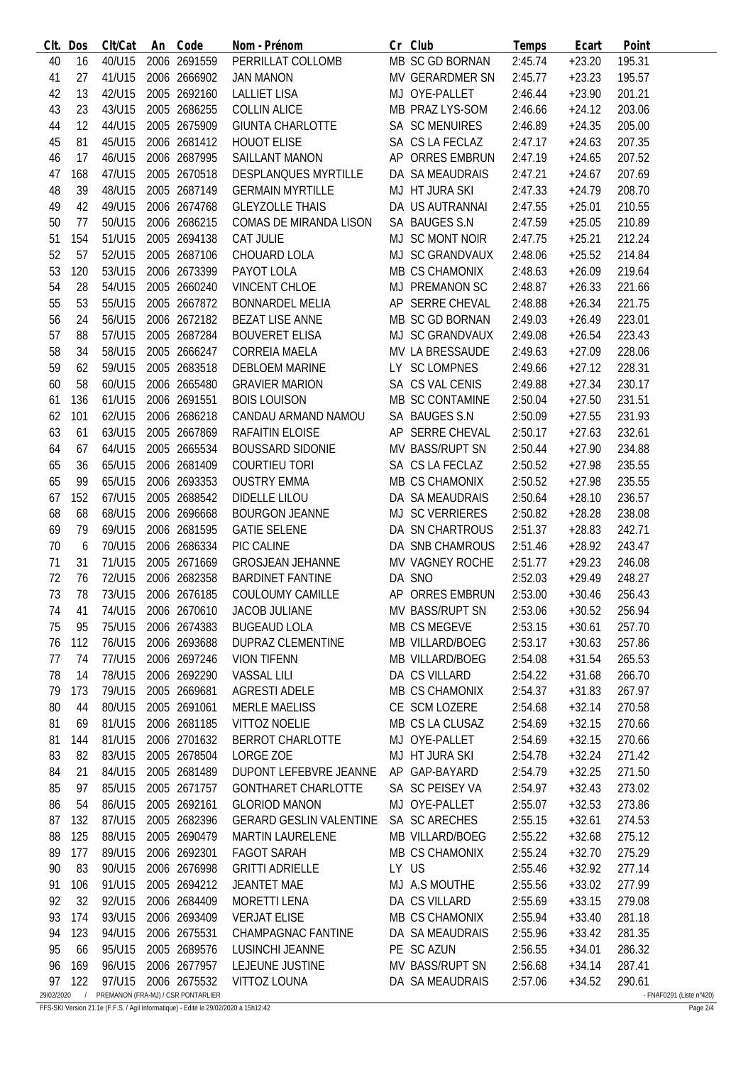| CIt.       | Dos        | Clt/Cat | An | Code                               | Nom - Prénom                   | Cr Club                | Temps   | Ecart    | Point                    |
|------------|------------|---------|----|------------------------------------|--------------------------------|------------------------|---------|----------|--------------------------|
| 40         | 16         | 40/U15  |    | 2006 2691559                       | PERRILLAT COLLOMB              | MB SC GD BORNAN        | 2:45.74 | $+23.20$ | 195.31                   |
| 41         | 27         | 41/U15  |    | 2006 2666902                       | <b>JAN MANON</b>               | MV GERARDMER SN        | 2:45.77 | $+23.23$ | 195.57                   |
| 42         | 13         | 42/U15  |    | 2005 2692160                       | <b>LALLIET LISA</b>            | MJ OYE-PALLET          | 2:46.44 | $+23.90$ | 201.21                   |
| 43         | 23         | 43/U15  |    | 2005 2686255                       | <b>COLLIN ALICE</b>            | MB PRAZ LYS-SOM        | 2:46.66 | $+24.12$ | 203.06                   |
| 44         | 12         | 44/U15  |    | 2005 2675909                       | <b>GIUNTA CHARLOTTE</b>        | SA SC MENUIRES         | 2:46.89 | $+24.35$ | 205.00                   |
| 45         | 81         | 45/U15  |    | 2006 2681412                       | <b>HOUOT ELISE</b>             | SA CS LA FECLAZ        | 2:47.17 | $+24.63$ | 207.35                   |
| 46         | 17         | 46/U15  |    | 2006 2687995                       | <b>SAILLANT MANON</b>          | AP ORRES EMBRUN        | 2:47.19 | $+24.65$ | 207.52                   |
| 47         | 168        | 47/U15  |    | 2005 2670518                       | <b>DESPLANQUES MYRTILLE</b>    | DA SA MEAUDRAIS        | 2:47.21 | $+24.67$ | 207.69                   |
| 48         | 39         | 48/U15  |    | 2005 2687149                       | <b>GERMAIN MYRTILLE</b>        | MJ HT JURA SKI         | 2:47.33 | $+24.79$ | 208.70                   |
| 49         | 42         | 49/U15  |    | 2006 2674768                       | <b>GLEYZOLLE THAIS</b>         | DA US AUTRANNAI        | 2:47.55 | $+25.01$ | 210.55                   |
| 50         | 77         | 50/U15  |    | 2006 2686215                       | COMAS DE MIRANDA LISON         | SA BAUGES S.N          | 2:47.59 | $+25.05$ | 210.89                   |
|            | 154        | 51/U15  |    | 2005 2694138                       | CAT JULIE                      | MJ SC MONT NOIR        |         |          |                          |
| 51         |            |         |    |                                    |                                |                        | 2:47.75 | $+25.21$ | 212.24                   |
| 52         | 57         | 52/U15  |    | 2005 2687106                       | CHOUARD LOLA                   | MJ SC GRANDVAUX        | 2:48.06 | $+25.52$ | 214.84                   |
| 53         | 120        | 53/U15  |    | 2006 2673399                       | PAYOT LOLA                     | MB CS CHAMONIX         | 2:48.63 | $+26.09$ | 219.64                   |
| 54         | 28         | 54/U15  |    | 2005 2660240                       | <b>VINCENT CHLOE</b>           | MJ PREMANON SC         | 2:48.87 | $+26.33$ | 221.66                   |
| 55         | 53         | 55/U15  |    | 2005 2667872                       | <b>BONNARDEL MELIA</b>         | AP SERRE CHEVAL        | 2:48.88 | $+26.34$ | 221.75                   |
| 56         | 24         | 56/U15  |    | 2006 2672182                       | <b>BEZAT LISE ANNE</b>         | MB SC GD BORNAN        | 2:49.03 | $+26.49$ | 223.01                   |
| 57         | 88         | 57/U15  |    | 2005 2687284                       | <b>BOUVERET ELISA</b>          | MJ SC GRANDVAUX        | 2:49.08 | $+26.54$ | 223.43                   |
| 58         | 34         | 58/U15  |    | 2005 2666247                       | <b>CORREIA MAELA</b>           | MV LA BRESSAUDE        | 2:49.63 | $+27.09$ | 228.06                   |
| 59         | 62         | 59/U15  |    | 2005 2683518                       | <b>DEBLOEM MARINE</b>          | LY SC LOMPNES          | 2:49.66 | $+27.12$ | 228.31                   |
| 60         | 58         | 60/U15  |    | 2006 2665480                       | <b>GRAVIER MARION</b>          | SA CS VAL CENIS        | 2:49.88 | $+27.34$ | 230.17                   |
| 61         | 136        | 61/U15  |    | 2006 2691551                       | <b>BOIS LOUISON</b>            | MB SC CONTAMINE        | 2:50.04 | $+27.50$ | 231.51                   |
| 62         | 101        | 62/U15  |    | 2006 2686218                       | CANDAU ARMAND NAMOU            | SA BAUGES S.N          | 2:50.09 | $+27.55$ | 231.93                   |
| 63         | 61         | 63/U15  |    | 2005 2667869                       | RAFAITIN ELOISE                | AP SERRE CHEVAL        | 2:50.17 | $+27.63$ | 232.61                   |
| 64         | 67         | 64/U15  |    | 2005 2665534                       | <b>BOUSSARD SIDONIE</b>        | MV BASS/RUPT SN        | 2:50.44 | $+27.90$ | 234.88                   |
| 65         | 36         | 65/U15  |    | 2006 2681409                       | <b>COURTIEU TORI</b>           | SA CS LA FECLAZ        | 2:50.52 | $+27.98$ | 235.55                   |
| 65         | 99         | 65/U15  |    | 2006 2693353                       | <b>OUSTRY EMMA</b>             | MB CS CHAMONIX         | 2:50.52 | $+27.98$ | 235.55                   |
| 67         | 152        | 67/U15  |    | 2005 2688542                       | <b>DIDELLE LILOU</b>           | DA SA MEAUDRAIS        | 2:50.64 | $+28.10$ | 236.57                   |
| 68         | 68         | 68/U15  |    | 2006 2696668                       | <b>BOURGON JEANNE</b>          | <b>MJ SC VERRIERES</b> | 2:50.82 | $+28.28$ | 238.08                   |
| 69         | 79         | 69/U15  |    | 2006 2681595                       | <b>GATIE SELENE</b>            | DA SN CHARTROUS        | 2:51.37 | $+28.83$ | 242.71                   |
| 70         | 6          | 70/U15  |    | 2006 2686334                       | PIC CALINE                     | DA SNB CHAMROUS        | 2:51.46 | $+28.92$ | 243.47                   |
| 71         | 31         | 71/U15  |    | 2005 2671669                       | <b>GROSJEAN JEHANNE</b>        | MV VAGNEY ROCHE        | 2:51.77 | $+29.23$ | 246.08                   |
| 72         | 76         | 72/U15  |    | 2006 2682358                       | <b>BARDINET FANTINE</b>        | DA SNO                 | 2:52.03 | $+29.49$ | 248.27                   |
| 73         | 78         | 73/U15  |    | 2006 2676185                       | COULOUMY CAMILLE               | AP ORRES EMBRUN        | 2:53.00 | $+30.46$ | 256.43                   |
|            |            |         |    |                                    | <b>JACOB JULIANE</b>           |                        |         |          |                          |
| 74         | 41         | 74/U15  |    | 2006 2670610                       |                                | MV BASS/RUPT SN        | 2:53.06 | $+30.52$ | 256.94                   |
| 75         | 95         | 75/U15  |    | 2006 2674383                       | <b>BUGEAUD LOLA</b>            | MB CS MEGEVE           | 2:53.15 | $+30.61$ | 257.70                   |
| 76         | 112        | 76/U15  |    | 2006 2693688                       | <b>DUPRAZ CLEMENTINE</b>       | MB VILLARD/BOEG        | 2:53.17 | $+30.63$ | 257.86                   |
| 77         | 74         | 77/U15  |    | 2006 2697246                       | <b>VION TIFENN</b>             | <b>MB VILLARD/BOEG</b> | 2:54.08 | $+31.54$ | 265.53                   |
| 78         | 14         | 78/U15  |    | 2006 2692290                       | <b>VASSAL LILI</b>             | DA CS VILLARD          | 2:54.22 | $+31.68$ | 266.70                   |
| 79         | 173        | 79/U15  |    | 2005 2669681                       | <b>AGRESTI ADELE</b>           | MB CS CHAMONIX         | 2:54.37 | $+31.83$ | 267.97                   |
| 80         | 44         | 80/U15  |    | 2005 2691061                       | <b>MERLE MAELISS</b>           | CE SCM LOZERE          | 2:54.68 | $+32.14$ | 270.58                   |
| 81         | 69         | 81/U15  |    | 2006 2681185                       | <b>VITTOZ NOELIE</b>           | MB CS LA CLUSAZ        | 2:54.69 | $+32.15$ | 270.66                   |
| 81         | 144        | 81/U15  |    | 2006 2701632                       | <b>BERROT CHARLOTTE</b>        | MJ OYE-PALLET          | 2:54.69 | $+32.15$ | 270.66                   |
| 83         | 82         | 83/U15  |    | 2005 2678504                       | LORGE ZOE                      | MJ HT JURA SKI         | 2:54.78 | $+32.24$ | 271.42                   |
| 84         | 21         | 84/U15  |    | 2005 2681489                       | DUPONT LEFEBVRE JEANNE         | AP GAP-BAYARD          | 2:54.79 | $+32.25$ | 271.50                   |
| 85         | 97         | 85/U15  |    | 2005 2671757                       | <b>GONTHARET CHARLOTTE</b>     | SA SC PEISEY VA        | 2:54.97 | $+32.43$ | 273.02                   |
| 86         | 54         | 86/U15  |    | 2005 2692161                       | <b>GLORIOD MANON</b>           | MJ OYE-PALLET          | 2:55.07 | $+32.53$ | 273.86                   |
| 87         | 132        | 87/U15  |    | 2005 2682396                       | <b>GERARD GESLIN VALENTINE</b> | SA SC ARECHES          | 2:55.15 | $+32.61$ | 274.53                   |
| 88         | 125        | 88/U15  |    | 2005 2690479                       | <b>MARTIN LAURELENE</b>        | MB VILLARD/BOEG        | 2:55.22 | $+32.68$ | 275.12                   |
| 89         | 177        | 89/U15  |    | 2006 2692301                       | <b>FAGOT SARAH</b>             | MB CS CHAMONIX         | 2:55.24 | $+32.70$ | 275.29                   |
| 90         | 83         | 90/U15  |    | 2006 2676998                       | <b>GRITTI ADRIELLE</b>         | LY US                  | 2:55.46 | $+32.92$ | 277.14                   |
| 91         | 106        | 91/U15  |    | 2005 2694212                       | <b>JEANTET MAE</b>             | MJ A.S MOUTHE          | 2:55.56 | $+33.02$ | 277.99                   |
| 92         | 32         | 92/U15  |    | 2006 2684409                       | <b>MORETTI LENA</b>            | DA CS VILLARD          | 2:55.69 | $+33.15$ | 279.08                   |
| 93         | 174        | 93/U15  |    | 2006 2693409                       | <b>VERJAT ELISE</b>            | MB CS CHAMONIX         | 2:55.94 | $+33.40$ | 281.18                   |
| 94         | 123        | 94/U15  |    | 2006 2675531                       | CHAMPAGNAC FANTINE             | DA SA MEAUDRAIS        | 2:55.96 | $+33.42$ | 281.35                   |
| 95         | 66         | 95/U15  |    | 2005 2689576                       | LUSINCHI JEANNE                | PE SC AZUN             | 2:56.55 | $+34.01$ | 286.32                   |
| 96         | 169        | 96/U15  |    | 2006 2677957                       | LEJEUNE JUSTINE                | MV BASS/RUPT SN        | 2:56.68 | $+34.14$ | 287.41                   |
| 97         | 122        | 97/U15  |    | 2006 2675532                       | VITTOZ LOUNA                   | DA SA MEAUDRAIS        | 2:57.06 | $+34.52$ | 290.61                   |
| 29/02/2020 | $\sqrt{ }$ |         |    | PREMANON (FRA-MJ) / CSR PONTARLIER |                                |                        |         |          | - FNAF0291 (Liste n°420) |

FFS-SKI Version 21.1e (F.F.S. / Agil Informatique) - Edité le 29/02/2020 à 15h12:42 Page 2/4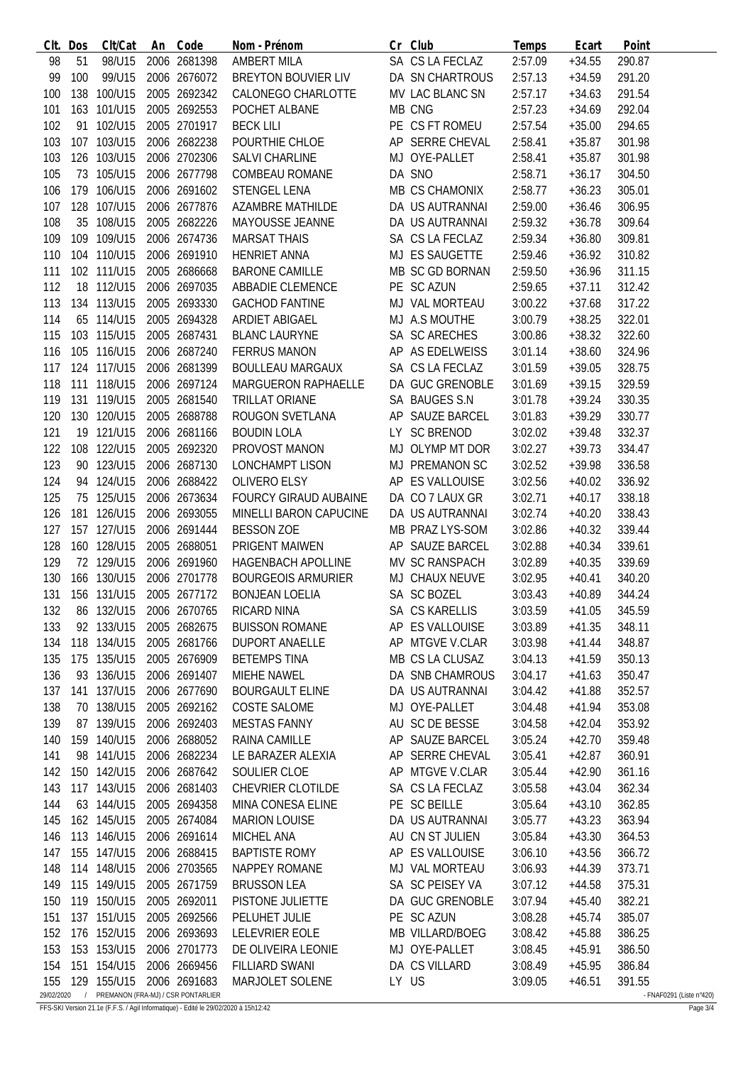|            | Clt. Dos | Clt/Cat     | An | Code                               | Nom - Prénom              | Cr Club         | Temps   | Ecart    | Point                    |
|------------|----------|-------------|----|------------------------------------|---------------------------|-----------------|---------|----------|--------------------------|
| 98         | 51       | 98/U15      |    | 2006 2681398                       | <b>AMBERT MILA</b>        | SA CS LA FECLAZ | 2:57.09 | $+34.55$ | 290.87                   |
| 99         | 100      | 99/U15      |    | 2006 2676072                       | BREYTON BOUVIER LIV       | DA SN CHARTROUS | 2:57.13 | $+34.59$ | 291.20                   |
| 100        |          | 138 100/U15 |    | 2005 2692342                       | CALONEGO CHARLOTTE        | MV LAC BLANC SN | 2:57.17 | $+34.63$ | 291.54                   |
| 101        |          | 163 101/U15 |    | 2005 2692553                       | POCHET ALBANE             | MB CNG          | 2:57.23 | $+34.69$ | 292.04                   |
| 102        |          | 91 102/U15  |    | 2005 2701917                       | <b>BECK LILI</b>          | PE CS FT ROMEU  | 2:57.54 | $+35.00$ | 294.65                   |
| 103        |          | 107 103/U15 |    | 2006 2682238                       | POURTHIE CHLOE            | AP SERRE CHEVAL | 2:58.41 | $+35.87$ | 301.98                   |
| 103        |          | 126 103/U15 |    | 2006 2702306                       | SALVI CHARLINE            | MJ OYE-PALLET   | 2:58.41 | $+35.87$ | 301.98                   |
| 105        |          | 73 105/U15  |    | 2006 2677798                       | <b>COMBEAU ROMANE</b>     | DA SNO          | 2:58.71 | $+36.17$ | 304.50                   |
| 106        |          | 179 106/U15 |    | 2006 2691602                       | <b>STENGEL LENA</b>       | MB CS CHAMONIX  | 2:58.77 | $+36.23$ | 305.01                   |
| 107        |          | 128 107/U15 |    | 2006 2677876                       | <b>AZAMBRE MATHILDE</b>   | DA US AUTRANNAI | 2:59.00 | $+36.46$ | 306.95                   |
| 108        |          | 35 108/U15  |    | 2005 2682226                       | MAYOUSSE JEANNE           | DA US AUTRANNAI | 2:59.32 | $+36.78$ | 309.64                   |
| 109        |          | 109 109/U15 |    | 2006 2674736                       | <b>MARSAT THAIS</b>       | SA CS LA FECLAZ | 2:59.34 | $+36.80$ | 309.81                   |
| 110        |          | 104 110/U15 |    | 2006 2691910                       | <b>HENRIET ANNA</b>       | MJ ES SAUGETTE  | 2:59.46 | $+36.92$ | 310.82                   |
| 111        |          | 102 111/U15 |    | 2005 2686668                       | <b>BARONE CAMILLE</b>     | MB SC GD BORNAN | 2:59.50 | $+36.96$ | 311.15                   |
| 112        |          | 18 112/U15  |    | 2006 2697035                       | <b>ABBADIE CLEMENCE</b>   | PE SC AZUN      | 2:59.65 | $+37.11$ | 312.42                   |
| 113        |          | 134 113/U15 |    | 2005 2693330                       | <b>GACHOD FANTINE</b>     | MJ VAL MORTEAU  | 3:00.22 | $+37.68$ | 317.22                   |
| 114        |          | 65 114/U15  |    | 2005 2694328                       | ARDIET ABIGAEL            | MJ A.S MOUTHE   | 3:00.79 | $+38.25$ | 322.01                   |
|            |          | 103 115/U15 |    | 2005 2687431                       | <b>BLANC LAURYNE</b>      | SA SC ARECHES   |         |          |                          |
| 115        |          |             |    |                                    |                           |                 | 3:00.86 | $+38.32$ | 322.60                   |
| 116        |          | 105 116/U15 |    | 2006 2687240                       | <b>FERRUS MANON</b>       | AP AS EDELWEISS | 3:01.14 | $+38.60$ | 324.96                   |
| 117        |          | 124 117/U15 |    | 2006 2681399                       | <b>BOULLEAU MARGAUX</b>   | SA CS LA FECLAZ | 3:01.59 | $+39.05$ | 328.75                   |
| 118        |          | 111 118/U15 |    | 2006 2697124                       | MARGUERON RAPHAELLE       | DA GUC GRENOBLE | 3:01.69 | $+39.15$ | 329.59                   |
| 119        |          | 131 119/U15 |    | 2005 2681540                       | TRILLAT ORIANE            | SA BAUGES S.N   | 3:01.78 | $+39.24$ | 330.35                   |
| 120        |          | 130 120/U15 |    | 2005 2688788                       | ROUGON SVETLANA           | AP SAUZE BARCEL | 3:01.83 | $+39.29$ | 330.77                   |
| 121        |          | 19 121/U15  |    | 2006 2681166                       | <b>BOUDIN LOLA</b>        | LY SC BRENOD    | 3:02.02 | $+39.48$ | 332.37                   |
| 122        |          | 108 122/U15 |    | 2005 2692320                       | PROVOST MANON             | MJ OLYMP MT DOR | 3:02.27 | $+39.73$ | 334.47                   |
| 123        |          | 90 123/U15  |    | 2006 2687130                       | LONCHAMPT LISON           | MJ PREMANON SC  | 3:02.52 | $+39.98$ | 336.58                   |
| 124        |          | 94 124/U15  |    | 2006 2688422                       | OLIVERO ELSY              | AP ES VALLOUISE | 3:02.56 | $+40.02$ | 336.92                   |
| 125        |          | 75 125/U15  |    | 2006 2673634                       | FOURCY GIRAUD AUBAINE     | DA CO 7 LAUX GR | 3:02.71 | $+40.17$ | 338.18                   |
| 126        |          | 181 126/U15 |    | 2006 2693055                       | MINELLI BARON CAPUCINE    | DA US AUTRANNAI | 3:02.74 | $+40.20$ | 338.43                   |
| 127        |          | 157 127/U15 |    | 2006 2691444                       | <b>BESSON ZOE</b>         | MB PRAZ LYS-SOM | 3:02.86 | $+40.32$ | 339.44                   |
| 128        |          | 160 128/U15 |    | 2005 2688051                       | PRIGENT MAIWEN            | AP SAUZE BARCEL | 3:02.88 | $+40.34$ | 339.61                   |
| 129        |          | 72 129/U15  |    | 2006 2691960                       | HAGENBACH APOLLINE        | MV SC RANSPACH  | 3:02.89 | $+40.35$ | 339.69                   |
| 130        |          | 166 130/U15 |    | 2006 2701778                       | <b>BOURGEOIS ARMURIER</b> | MJ CHAUX NEUVE  | 3:02.95 | $+40.41$ | 340.20                   |
| 131        |          | 156 131/U15 |    | 2005 2677172                       | <b>BONJEAN LOELIA</b>     | SA SC BOZEL     | 3:03.43 | $+40.89$ | 344.24                   |
| 132        | 86       | 132/U15     |    | 2006 2670765                       | RICARD NINA               | SA CS KARELLIS  | 3:03.59 | $+41.05$ | 345.59                   |
| 133        |          | 92 133/U15  |    | 2005 2682675                       | <b>BUISSON ROMANE</b>     | AP ES VALLOUISE | 3:03.89 | $+41.35$ | 348.11                   |
| 134        |          | 118 134/U15 |    | 2005 2681766                       | <b>DUPORT ANAELLE</b>     | AP MTGVE V.CLAR | 3:03.98 | $+41.44$ | 348.87                   |
| 135        |          | 175 135/U15 |    | 2005 2676909                       | <b>BETEMPS TINA</b>       | MB CS LA CLUSAZ | 3:04.13 | $+41.59$ | 350.13                   |
| 136        |          | 93 136/U15  |    | 2006 2691407                       | MIEHE NAWEL               | DA SNB CHAMROUS | 3:04.17 | $+41.63$ | 350.47                   |
| 137        |          | 141 137/U15 |    | 2006 2677690                       | <b>BOURGAULT ELINE</b>    | DA US AUTRANNAI | 3:04.42 | $+41.88$ | 352.57                   |
| 138        |          | 70 138/U15  |    | 2005 2692162                       | COSTE SALOME              | MJ OYE-PALLET   | 3:04.48 | $+41.94$ | 353.08                   |
| 139        |          | 87 139/U15  |    | 2006 2692403                       | <b>MESTAS FANNY</b>       | AU SC DE BESSE  | 3:04.58 | $+42.04$ | 353.92                   |
| 140        |          | 159 140/U15 |    | 2006 2688052                       | RAINA CAMILLE             | AP SAUZE BARCEL | 3:05.24 | $+42.70$ | 359.48                   |
| 141        |          | 98 141/U15  |    | 2006 2682234                       | LE BARAZER ALEXIA         | AP SERRE CHEVAL | 3:05.41 | $+42.87$ | 360.91                   |
| 142        |          | 150 142/U15 |    | 2006 2687642                       | SOULIER CLOE              | AP MTGVE V.CLAR | 3:05.44 | $+42.90$ | 361.16                   |
| 143        |          | 117 143/U15 |    | 2006 2681403                       | CHEVRIER CLOTILDE         | SA CS LA FECLAZ | 3:05.58 | $+43.04$ | 362.34                   |
| 144        |          | 63 144/U15  |    | 2005 2694358                       | MINA CONESA ELINE         | PE SC BEILLE    | 3:05.64 | $+43.10$ | 362.85                   |
| 145        |          | 162 145/U15 |    | 2005 2674084                       | <b>MARION LOUISE</b>      | DA US AUTRANNAI | 3:05.77 | $+43.23$ | 363.94                   |
| 146        |          | 113 146/U15 |    | 2006 2691614                       | MICHEL ANA                | AU CN ST JULIEN | 3:05.84 | $+43.30$ | 364.53                   |
| 147        |          | 155 147/U15 |    | 2006 2688415                       | <b>BAPTISTE ROMY</b>      | AP ES VALLOUISE | 3:06.10 | $+43.56$ | 366.72                   |
| 148        |          | 114 148/U15 |    | 2006 2703565                       | NAPPEY ROMANE             | MJ VAL MORTEAU  | 3:06.93 | $+44.39$ | 373.71                   |
| 149        |          | 115 149/U15 |    | 2005 2671759                       | <b>BRUSSON LEA</b>        | SA SC PEISEY VA | 3:07.12 | $+44.58$ | 375.31                   |
| 150        |          | 119 150/U15 |    | 2005 2692011                       | PISTONE JULIETTE          | DA GUC GRENOBLE | 3:07.94 | $+45.40$ | 382.21                   |
| 151        |          | 137 151/U15 |    | 2005 2692566                       | PELUHET JULIE             | PE SC AZUN      | 3:08.28 | $+45.74$ | 385.07                   |
| 152        |          | 176 152/U15 |    | 2006 2693693                       | <b>LELEVRIER EOLE</b>     | MB VILLARD/BOEG | 3:08.42 | $+45.88$ | 386.25                   |
| 153        |          | 153 153/U15 |    | 2006 2701773                       | DE OLIVEIRA LEONIE        | MJ OYE-PALLET   | 3:08.45 | $+45.91$ | 386.50                   |
| 154        |          | 151 154/U15 |    | 2006 2669456                       | <b>FILLIARD SWANI</b>     | DA CS VILLARD   | 3:08.49 | $+45.95$ | 386.84                   |
| 155        |          | 129 155/U15 |    | 2006 2691683                       | MARJOLET SOLENE           | LY US           | 3:09.05 | $+46.51$ | 391.55                   |
| 29/02/2020 |          |             |    | PREMANON (FRA-MJ) / CSR PONTARLIER |                           |                 |         |          | - FNAF0291 (Liste n°420) |